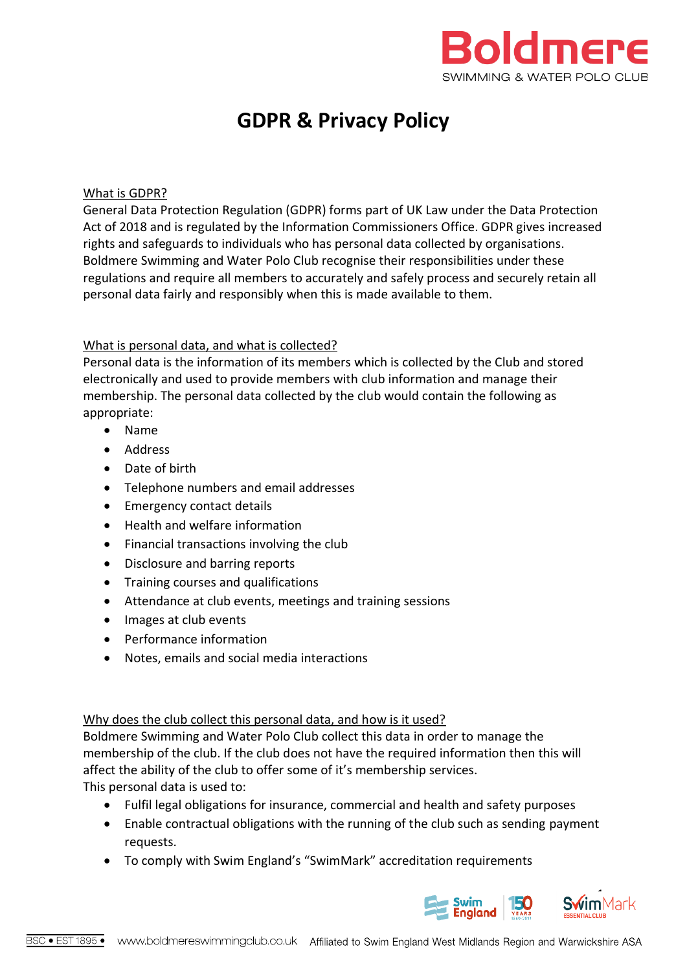

# **GDPR & Privacy Policy**

#### What is GDPR?

General Data Protection Regulation (GDPR) forms part of UK Law under the Data Protection Act of 2018 and is regulated by the Information Commissioners Office. GDPR gives increased rights and safeguards to individuals who has personal data collected by organisations. Boldmere Swimming and Water Polo Club recognise their responsibilities under these regulations and require all members to accurately and safely process and securely retain all personal data fairly and responsibly when this is made available to them.

#### What is personal data, and what is collected?

Personal data is the information of its members which is collected by the Club and stored electronically and used to provide members with club information and manage their membership. The personal data collected by the club would contain the following as appropriate:

- Name
- Address
- Date of birth
- Telephone numbers and email addresses
- Emergency contact details
- Health and welfare information
- Financial transactions involving the club
- Disclosure and barring reports
- Training courses and qualifications
- Attendance at club events, meetings and training sessions
- Images at club events
- Performance information
- Notes, emails and social media interactions

#### Why does the club collect this personal data, and how is it used?

Boldmere Swimming and Water Polo Club collect this data in order to manage the membership of the club. If the club does not have the required information then this will affect the ability of the club to offer some of it's membership services. This personal data is used to:

• Fulfil legal obligations for insurance, commercial and health and safety purposes

- Enable contractual obligations with the running of the club such as sending payment requests.
- To comply with Swim England's "SwimMark" accreditation requirements



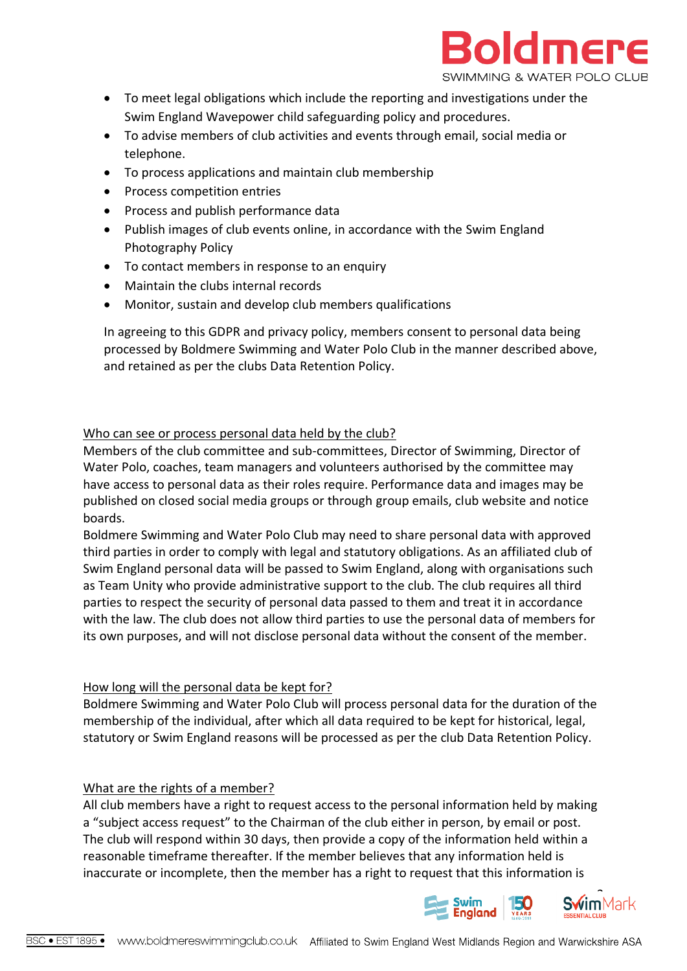

- To meet legal obligations which include the reporting and investigations under the Swim England Wavepower child safeguarding policy and procedures.
- To advise members of club activities and events through email, social media or telephone.
- To process applications and maintain club membership
- Process competition entries
- Process and publish performance data
- Publish images of club events online, in accordance with the Swim England Photography Policy
- To contact members in response to an enquiry
- Maintain the clubs internal records
- Monitor, sustain and develop club members qualifications

In agreeing to this GDPR and privacy policy, members consent to personal data being processed by Boldmere Swimming and Water Polo Club in the manner described above, and retained as per the clubs Data Retention Policy.

#### Who can see or process personal data held by the club?

Members of the club committee and sub-committees, Director of Swimming, Director of Water Polo, coaches, team managers and volunteers authorised by the committee may have access to personal data as their roles require. Performance data and images may be published on closed social media groups or through group emails, club website and notice boards.

Boldmere Swimming and Water Polo Club may need to share personal data with approved third parties in order to comply with legal and statutory obligations. As an affiliated club of Swim England personal data will be passed to Swim England, along with organisations such as Team Unity who provide administrative support to the club. The club requires all third parties to respect the security of personal data passed to them and treat it in accordance with the law. The club does not allow third parties to use the personal data of members for its own purposes, and will not disclose personal data without the consent of the member.

#### How long will the personal data be kept for?

Boldmere Swimming and Water Polo Club will process personal data for the duration of the membership of the individual, after which all data required to be kept for historical, legal, statutory or Swim England reasons will be processed as per the club Data Retention Policy.

## What are the rights of a member?

All club members have a right to request access to the personal information held by making a "subject access request" to the Chairman of the club either in person, by email or post. The club will respond within 30 days, then provide a copy of the information held within a reasonable timeframe thereafter. If the member believes that any information held is inaccurate or incomplete, then the member has a right to request that this information is

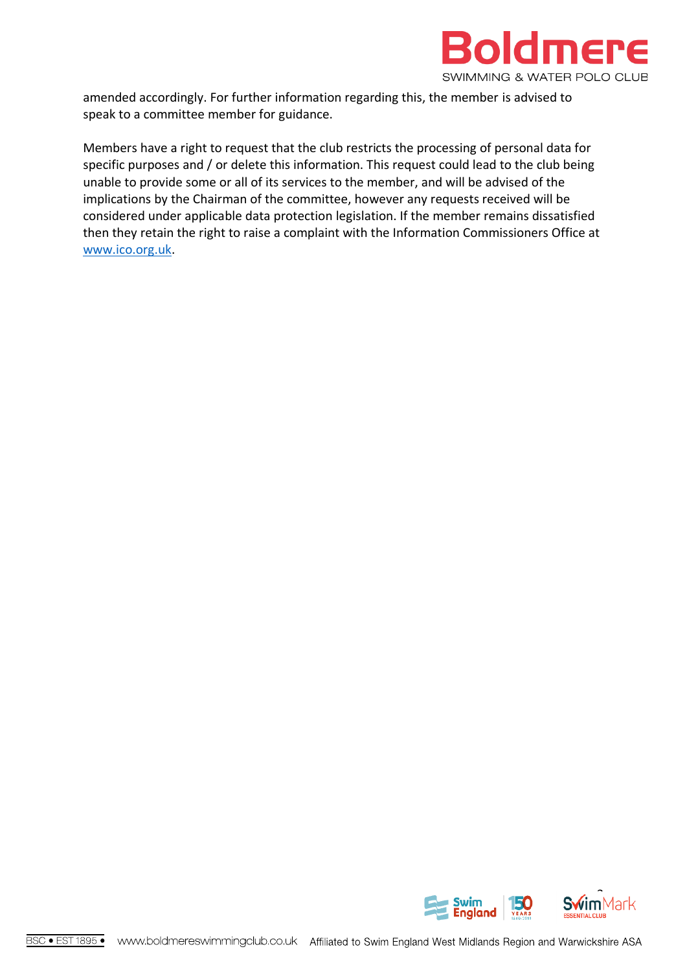

amended accordingly. For further information regarding this, the member is advised to speak to a committee member for guidance.

Members have a right to request that the club restricts the processing of personal data for specific purposes and / or delete this information. This request could lead to the club being unable to provide some or all of its services to the member, and will be advised of the implications by the Chairman of the committee, however any requests received will be considered under applicable data protection legislation. If the member remains dissatisfied then they retain the right to raise a complaint with the Information Commissioners Office at [www.ico.org.uk.](http://www.ico.org.uk/)

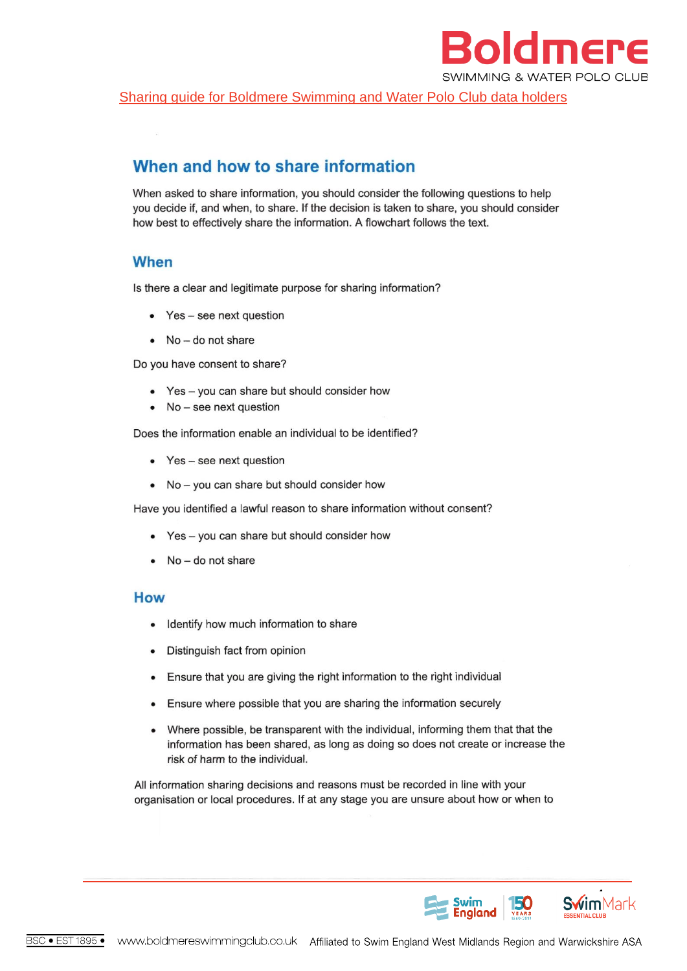

Sharing quide for Boldmere Swimming and Water Polo Club data holders

# When and how to share information

When asked to share information, you should consider the following questions to help you decide if, and when, to share. If the decision is taken to share, you should consider how best to effectively share the information. A flowchart follows the text.

## **When**

Is there a clear and legitimate purpose for sharing information?

- Yes see next question
- No do not share

Do you have consent to share?

- Yes you can share but should consider how
- $\bullet$  No see next question

Does the information enable an individual to be identified?

- Yes see next question
- No you can share but should consider how

Have you identified a lawful reason to share information without consent?

- Yes you can share but should consider how
- No do not share

#### **How**

- Identify how much information to share
- Distinguish fact from opinion
- Ensure that you are giving the right information to the right individual
- Ensure where possible that you are sharing the information securely  $\bullet$
- Where possible, be transparent with the individual, informing them that that the  $\bullet$ information has been shared, as long as doing so does not create or increase the risk of harm to the individual.

All information sharing decisions and reasons must be recorded in line with your organisation or local procedures. If at any stage you are unsure about how or when to